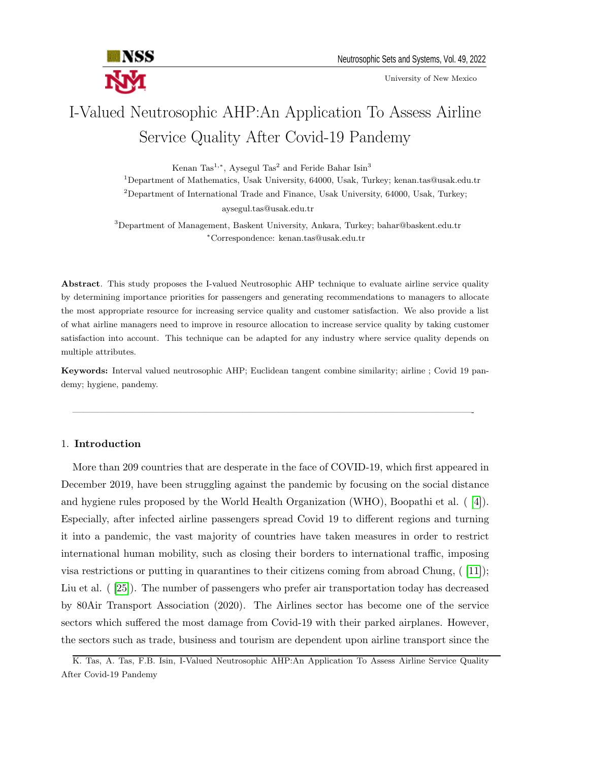

University of New Mexico

# I-Valued Neutrosophic AHP:An Application To Assess Airline Service Quality After Covid-19 Pandemy

Kenan Tas<sup>1,∗</sup>, Aysegul Tas<sup>2</sup> and Feride Bahar Isin<sup>3</sup>

<sup>1</sup>Department of Mathematics, Usak University, 64000, Usak, Turkey; kenan.tas@usak.edu.tr  $2$ Department of International Trade and Finance, Usak University, 64000, Usak, Turkey; aysegul.tas@usak.edu.tr

<sup>3</sup>Department of Management, Baskent University, Ankara, Turkey; bahar@baskent.edu.tr <sup>∗</sup>Correspondence: kenan.tas@usak.edu.tr

Abstract. This study proposes the I-valued Neutrosophic AHP technique to evaluate airline service quality by determining importance priorities for passengers and generating recommendations to managers to allocate the most appropriate resource for increasing service quality and customer satisfaction. We also provide a list of what airline managers need to improve in resource allocation to increase service quality by taking customer satisfaction into account. This technique can be adapted for any industry where service quality depends on multiple attributes.

Keywords: Interval valued neutrosophic AHP; Euclidean tangent combine similarity; airline ; Covid 19 pandemy; hygiene, pandemy.

—————————————————————————————————————————————-

### 1. Introduction

More than 209 countries that are desperate in the face of COVID-19, which first appeared in December 2019, have been struggling against the pandemic by focusing on the social distance and hygiene rules proposed by the World Health Organization (WHO), Boopathi et al. ( [\[4\]](#page-11-0)). Especially, after infected airline passengers spread Covid 19 to different regions and turning it into a pandemic, the vast majority of countries have taken measures in order to restrict international human mobility, such as closing their borders to international traffic, imposing visa restrictions or putting in quarantines to their citizens coming from abroad Chung, ( [\[11\]](#page-11-1)); Liu et al. ( [\[25\]](#page-12-0)). The number of passengers who prefer air transportation today has decreased by 80Air Transport Association (2020). The Airlines sector has become one of the service sectors which suffered the most damage from Covid-19 with their parked airplanes. However, the sectors such as trade, business and tourism are dependent upon airline transport since the

K. Tas, A. Tas, F.B. Isin, I-Valued Neutrosophic AHP:An Application To Assess Airline Service Quality After Covid-19 Pandemy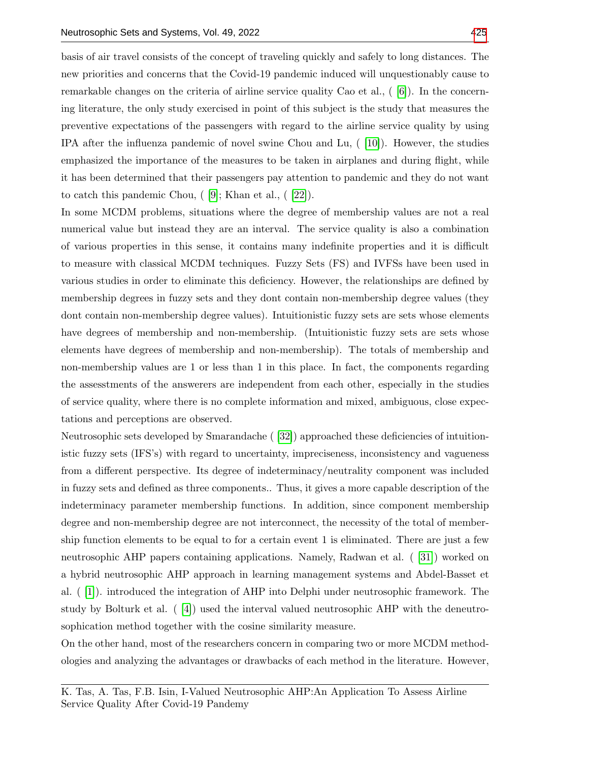basis of air travel consists of the concept of traveling quickly and safely to long distances. The new priorities and concerns that the Covid-19 pandemic induced will unquestionably cause to remarkable changes on the criteria of airline service quality Cao et al., ( [\[6\]](#page-11-2)). In the concerning literature, the only study exercised in point of this subject is the study that measures the preventive expectations of the passengers with regard to the airline service quality by using IPA after the influenza pandemic of novel swine Chou and Lu, ( [\[10\]](#page-11-3)). However, the studies emphasized the importance of the measures to be taken in airplanes and during flight, while it has been determined that their passengers pay attention to pandemic and they do not want to catch this pandemic Chou, ( [\[9\]](#page-11-4); Khan et al., ( [\[22\]](#page-12-1)).

In some MCDM problems, situations where the degree of membership values are not a real numerical value but instead they are an interval. The service quality is also a combination of various properties in this sense, it contains many indefinite properties and it is difficult to measure with classical MCDM techniques. Fuzzy Sets (FS) and IVFSs have been used in various studies in order to eliminate this deficiency. However, the relationships are defined by membership degrees in fuzzy sets and they dont contain non-membership degree values (they dont contain non-membership degree values). Intuitionistic fuzzy sets are sets whose elements have degrees of membership and non-membership. (Intuitionistic fuzzy sets are sets whose elements have degrees of membership and non-membership). The totals of membership and non-membership values are 1 or less than 1 in this place. In fact, the components regarding the assesstments of the answerers are independent from each other, especially in the studies of service quality, where there is no complete information and mixed, ambiguous, close expectations and perceptions are observed.

Neutrosophic sets developed by Smarandache ( [\[32\]](#page-12-2)) approached these deficiencies of intuitionistic fuzzy sets (IFS's) with regard to uncertainty, impreciseness, inconsistency and vagueness from a different perspective. Its degree of indeterminacy/neutrality component was included in fuzzy sets and defined as three components.. Thus, it gives a more capable description of the indeterminacy parameter membership functions. In addition, since component membership degree and non-membership degree are not interconnect, the necessity of the total of membership function elements to be equal to for a certain event 1 is eliminated. There are just a few neutrosophic AHP papers containing applications. Namely, Radwan et al. ( [\[31\]](#page-12-3)) worked on a hybrid neutrosophic AHP approach in learning management systems and Abdel-Basset et al. ( [\[1\]](#page-11-5)). introduced the integration of AHP into Delphi under neutrosophic framework. The study by Bolturk et al. ( [\[4\]](#page-11-0)) used the interval valued neutrosophic AHP with the deneutrosophication method together with the cosine similarity measure.

On the other hand, most of the researchers concern in comparing two or more MCDM methodologies and analyzing the advantages or drawbacks of each method in the literature. However,

K. Tas, A. Tas, F.B. Isin, I-Valued Neutrosophic AHP:An Application To Assess Airline Service Quality After Covid-19 Pandemy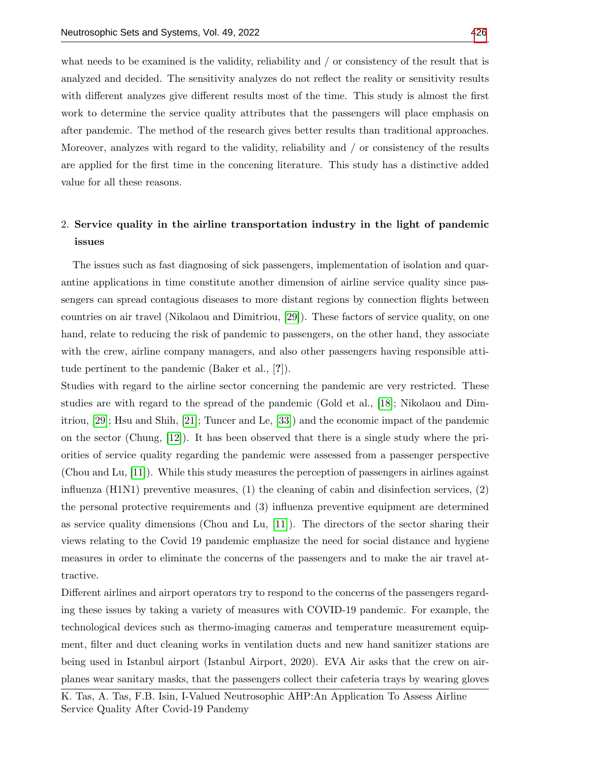what needs to be examined is the validity, reliability and / or consistency of the result that is analyzed and decided. The sensitivity analyzes do not reflect the reality or sensitivity results with different analyzes give different results most of the time. This study is almost the first work to determine the service quality attributes that the passengers will place emphasis on after pandemic. The method of the research gives better results than traditional approaches. Moreover, analyzes with regard to the validity, reliability and / or consistency of the results are applied for the first time in the concening literature. This study has a distinctive added value for all these reasons.

## 2. Service quality in the airline transportation industry in the light of pandemic issues

The issues such as fast diagnosing of sick passengers, implementation of isolation and quarantine applications in time constitute another dimension of airline service quality since passengers can spread contagious diseases to more distant regions by connection flights between countries on air travel (Nikolaou and Dimitriou, [\[29\]](#page-12-4)). These factors of service quality, on one hand, relate to reducing the risk of pandemic to passengers, on the other hand, they associate with the crew, airline company managers, and also other passengers having responsible attitude pertinent to the pandemic (Baker et al., [?]).

Studies with regard to the airline sector concerning the pandemic are very restricted. These studies are with regard to the spread of the pandemic (Gold et al., [\[18\]](#page-12-5); Nikolaou and Dimitriou, [\[29\]](#page-12-4); Hsu and Shih, [\[21\]](#page-12-6); Tuncer and Le, [\[33\]](#page-12-7)) and the economic impact of the pandemic on the sector (Chung, [\[12\]](#page-11-6)). It has been observed that there is a single study where the priorities of service quality regarding the pandemic were assessed from a passenger perspective (Chou and Lu, [\[11\]](#page-11-1)). While this study measures the perception of passengers in airlines against influenza (H1N1) preventive measures, (1) the cleaning of cabin and disinfection services, (2) the personal protective requirements and (3) influenza preventive equipment are determined as service quality dimensions (Chou and Lu, [\[11\]](#page-11-1)). The directors of the sector sharing their views relating to the Covid 19 pandemic emphasize the need for social distance and hygiene measures in order to eliminate the concerns of the passengers and to make the air travel attractive.

Different airlines and airport operators try to respond to the concerns of the passengers regarding these issues by taking a variety of measures with COVID-19 pandemic. For example, the technological devices such as thermo-imaging cameras and temperature measurement equipment, filter and duct cleaning works in ventilation ducts and new hand sanitizer stations are being used in Istanbul airport (Istanbul Airport, 2020). EVA Air asks that the crew on airplanes wear sanitary masks, that the passengers collect their cafeteria trays by wearing gloves

K. Tas, A. Tas, F.B. Isin, I-Valued Neutrosophic AHP:An Application To Assess Airline Service Quality After Covid-19 Pandemy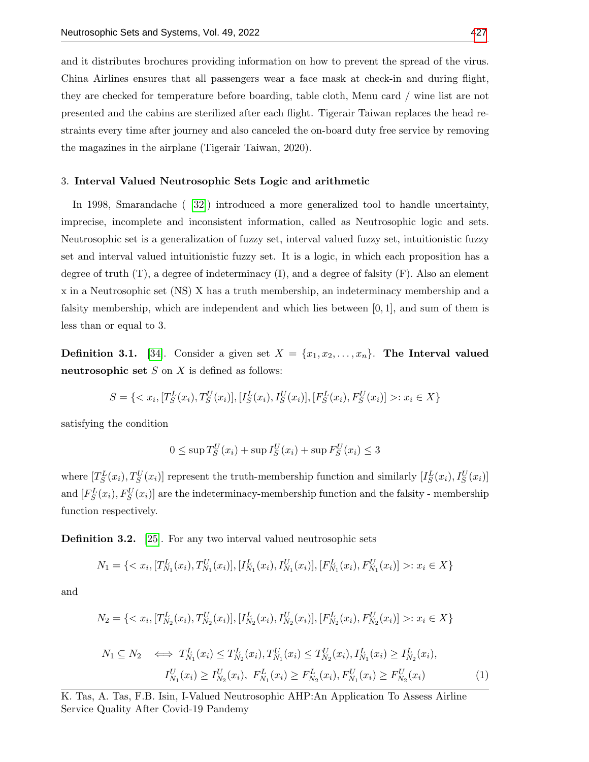and it distributes brochures providing information on how to prevent the spread of the virus. China Airlines ensures that all passengers wear a face mask at check-in and during flight, they are checked for temperature before boarding, table cloth, Menu card / wine list are not presented and the cabins are sterilized after each flight. Tigerair Taiwan replaces the head restraints every time after journey and also canceled the on-board duty free service by removing the magazines in the airplane (Tigerair Taiwan, 2020).

#### 3. Interval Valued Neutrosophic Sets Logic and arithmetic

In 1998, Smarandache ( [\[32\]](#page-12-2)) introduced a more generalized tool to handle uncertainty, imprecise, incomplete and inconsistent information, called as Neutrosophic logic and sets. Neutrosophic set is a generalization of fuzzy set, interval valued fuzzy set, intuitionistic fuzzy set and interval valued intuitionistic fuzzy set. It is a logic, in which each proposition has a degree of truth  $(T)$ , a degree of indeterminacy  $(I)$ , and a degree of falsity  $(F)$ . Also an element x in a Neutrosophic set (NS) X has a truth membership, an indeterminacy membership and a falsity membership, which are independent and which lies between  $[0, 1]$ , and sum of them is less than or equal to 3.

**Definition 3.1.** [\[34\]](#page-12-8). Consider a given set  $X = \{x_1, x_2, \ldots, x_n\}$ . The Interval valued neutrosophic set  $S$  on  $X$  is defined as follows:

$$
S = \{ \langle x_i, [T_S^L(x_i), T_S^U(x_i)], [I_S^L(x_i), I_S^U(x_i)], [F_S^L(x_i), F_S^U(x_i)] \rangle : x_i \in X \}
$$

satisfying the condition

$$
0 \leq \sup T_S^U(x_i) + \sup I_S^U(x_i) + \sup F_S^U(x_i) \leq 3
$$

where  $[T_S^L(x_i), T_S^U(x_i)]$  represent the truth-membership function and similarly  $[I_S^L(x_i), I_S^U(x_i)]$ and  $[F_S^L(x_i), F_S^U(x_i)]$  are the indeterminacy-membership function and the falsity - membership function respectively.

Definition 3.2. [\[25\]](#page-12-0). For any two interval valued neutrosophic sets

$$
N_1 = \{ \langle x_i, [T_{N_1}^L(x_i), T_{N_1}^U(x_i)], [I_{N_1}^L(x_i), I_{N_1}^U(x_i)], [F_{N_1}^L(x_i), F_{N_1}^U(x_i)] \rangle : x_i \in X \}
$$

and

$$
N_2 = \{ \langle x_i, [T_{N_2}^L(x_i), T_{N_2}^U(x_i)], [I_{N_2}^L(x_i), I_{N_2}^U(x_i)], [F_{N_2}^L(x_i), F_{N_2}^U(x_i)] \rangle : x_i \in X \}
$$

$$
N_1 \subseteq N_2 \iff T_{N_1}^L(x_i) \le T_{N_2}^L(x_i), T_{N_1}^U(x_i) \le T_{N_2}^U(x_i), I_{N_1}^L(x_i) \ge I_{N_2}^L(x_i),
$$
  

$$
I_{N_1}^U(x_i) \ge I_{N_2}^U(x_i), F_{N_1}^L(x_i) \ge F_{N_2}^L(x_i), F_{N_1}^U(x_i) \ge F_{N_2}^U(x_i)
$$
 (1)

K. Tas, A. Tas, F.B. Isin, I-Valued Neutrosophic AHP:An Application To Assess Airline Service Quality After Covid-19 Pandemy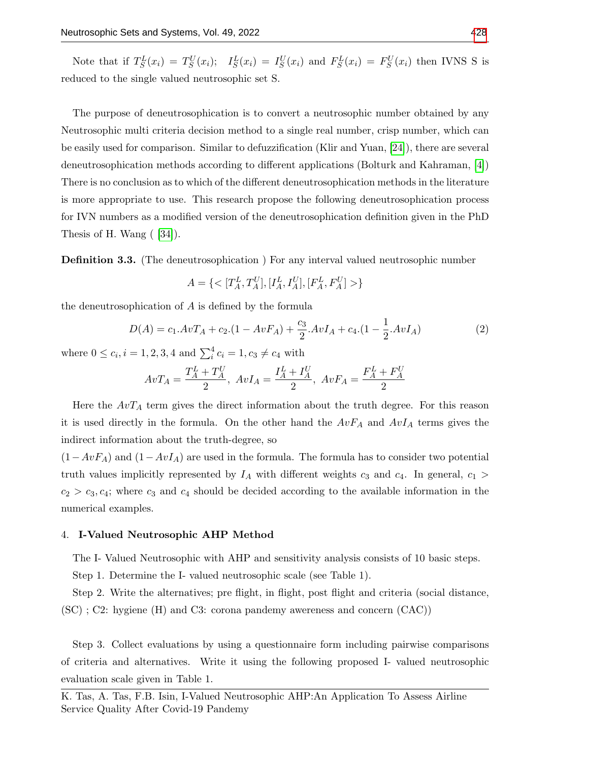Note that if  $T_S^L(x_i) = T_S^U(x_i);$   $I_S^L(x_i) = I_S^U(x_i)$  and  $F_S^L(x_i) = F_S^U(x_i)$  then IVNS S is reduced to the single valued neutrosophic set S.

The purpose of deneutrosophication is to convert a neutrosophic number obtained by any Neutrosophic multi criteria decision method to a single real number, crisp number, which can be easily used for comparison. Similar to defuzzification (Klir and Yuan, [\[24\]](#page-12-9)), there are several deneutrosophication methods according to different applications (Bolturk and Kahraman, [\[4\]](#page-11-0)) There is no conclusion as to which of the different deneutrosophication methods in the literature is more appropriate to use. This research propose the following deneutrosophication process for IVN numbers as a modified version of the deneutrosophication definition given in the PhD Thesis of H. Wang ( [\[34\]](#page-12-8)).

**Definition 3.3.** (The deneutrosophication) For any interval valued neutrosophic number

$$
A = \{ \langle [T_A^L, T_A^U], [I_A^L, I_A^U], [F_A^L, F_A^U] \rangle \}
$$

the deneutrosophication of  $A$  is defined by the formula

$$
D(A) = c_1 A v T_A + c_2 (1 - A v F_A) + \frac{c_3}{2} A v I_A + c_4 (1 - \frac{1}{2} A v I_A)
$$
 (2)

where  $0 \le c_i, i = 1, 2, 3, 4$  and  $\sum_{i=1}^{4} c_i = 1, c_3 \ne c_4$  with

$$
AvT_A = \frac{T_A^L + T_A^U}{2}, \ AvI_A = \frac{I_A^L + I_A^U}{2}, \ AvF_A = \frac{F_A^L + F_A^U}{2}
$$

Here the  $AvT_A$  term gives the direct information about the truth degree. For this reason it is used directly in the formula. On the other hand the  $AvF_A$  and  $AvI_A$  terms gives the indirect information about the truth-degree, so

 $(1-AvF_A)$  and  $(1-AvI_A)$  are used in the formula. The formula has to consider two potential truth values implicitly represented by  $I_A$  with different weights  $c_3$  and  $c_4$ . In general,  $c_1$  $c_2 > c_3, c_4$ ; where  $c_3$  and  $c_4$  should be decided according to the available information in the numerical examples.

#### 4. I-Valued Neutrosophic AHP Method

The I- Valued Neutrosophic with AHP and sensitivity analysis consists of 10 basic steps.

Step 1. Determine the I- valued neutrosophic scale (see Table 1).

Step 2. Write the alternatives; pre flight, in flight, post flight and criteria (social distance,  $(SC)$ ; C2: hygiene (H) and C3: corona pandemy awereness and concern  $(CAC)$ )

Step 3. Collect evaluations by using a questionnaire form including pairwise comparisons of criteria and alternatives. Write it using the following proposed I- valued neutrosophic evaluation scale given in Table 1.

K. Tas, A. Tas, F.B. Isin, I-Valued Neutrosophic AHP:An Application To Assess Airline Service Quality After Covid-19 Pandemy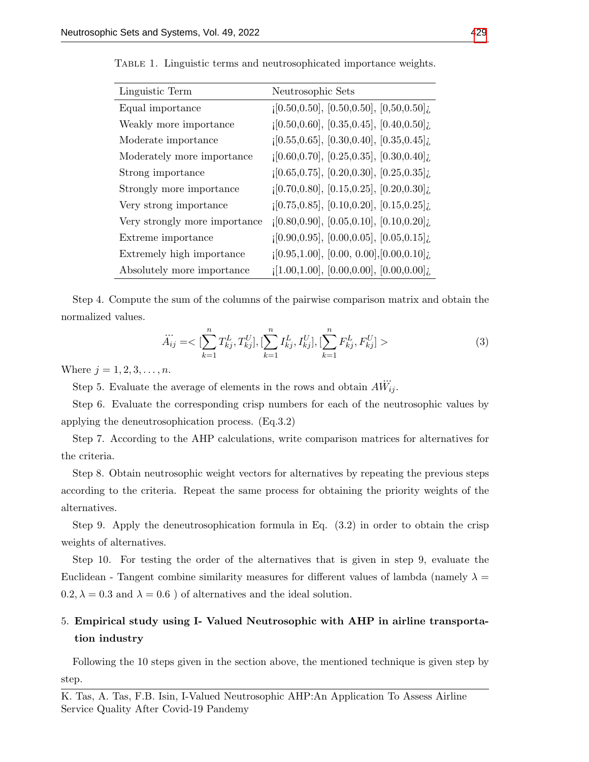| Linguistic Term               | Neutrosophic Sets                                                            |
|-------------------------------|------------------------------------------------------------------------------|
| Equal importance              | $[0.50, 0.50], [0.50, 0.50], [0.50, 0.50]$                                   |
| Weakly more importance        | $[0.50, 0.60], [0.35, 0.45], [0.40, 0.50]$                                   |
| Moderate importance           | $[0.55, 0.65], [0.30, 0.40], [0.35, 0.45]$                                   |
| Moderately more importance    | $[0.60, 0.70], [0.25, 0.35], [0.30, 0.40]$                                   |
| Strong importance             | $[0.65, 0.75], [0.20, 0.30], [0.25, 0.35]$                                   |
| Strongly more importance      | $[0.70, 0.80], [0.15, 0.25], [0.20, 0.30],$                                  |
| Very strong importance        | $[0.75, 0.85], [0.10, 0.20], [0.15, 0.25]$                                   |
| Very strongly more importance | $[0.80, 0.90], [0.05, 0.10], [0.10, 0.20]$                                   |
| Extreme importance            | $[0.90, 0.95], [0.00, 0.05], [0.05, 0.15]$                                   |
| Extremely high importance     | $[0.95, 1.00], [0.00, 0.00], [0.00, 0.10],$                                  |
| Absolutely more importance    | $\left[1.00, 1.00\right], \left[0.00, 0.00\right], \left[0.00, 0.00\right],$ |

Table 1. Linguistic terms and neutrosophicated importance weights.

Step 4. Compute the sum of the columns of the pairwise comparison matrix and obtain the normalized values.

$$
\ddot{A}_{ij} = \langle \sum_{k=1}^{n} T_{kj}^{L}, T_{kj}^{U} \rangle, [\sum_{k=1}^{n} I_{kj}^{L}, I_{kj}^{U}], [\sum_{k=1}^{n} F_{kj}^{L}, F_{kj}^{U}] \rangle
$$
\n(3)

Where  $j = 1, 2, 3, ..., n$ .

Step 5. Evaluate the average of elements in the rows and obtain A ...  $W_{ij}$ .

Step 6. Evaluate the corresponding crisp numbers for each of the neutrosophic values by applying the deneutrosophication process. (Eq.3.2)

Step 7. According to the AHP calculations, write comparison matrices for alternatives for the criteria.

Step 8. Obtain neutrosophic weight vectors for alternatives by repeating the previous steps according to the criteria. Repeat the same process for obtaining the priority weights of the alternatives.

Step 9. Apply the deneutrosophication formula in Eq. (3.2) in order to obtain the crisp weights of alternatives.

Step 10. For testing the order of the alternatives that is given in step 9, evaluate the Euclidean - Tangent combine similarity measures for different values of lambda (namely  $\lambda =$  $0.2, \lambda = 0.3$  and  $\lambda = 0.6$  ) of alternatives and the ideal solution.

## 5. Empirical study using I- Valued Neutrosophic with AHP in airline transportation industry

Following the 10 steps given in the section above, the mentioned technique is given step by step.

K. Tas, A. Tas, F.B. Isin, I-Valued Neutrosophic AHP:An Application To Assess Airline Service Quality After Covid-19 Pandemy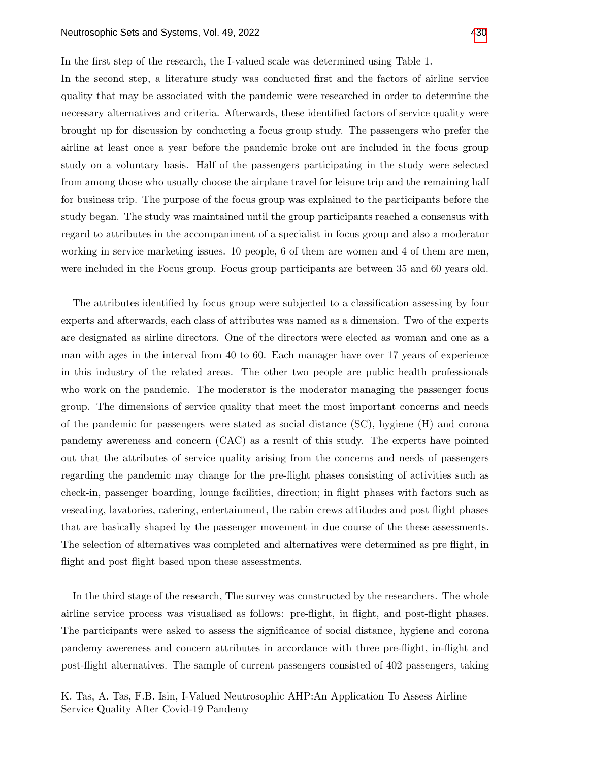In the first step of the research, the I-valued scale was determined using Table 1.

In the second step, a literature study was conducted first and the factors of airline service quality that may be associated with the pandemic were researched in order to determine the necessary alternatives and criteria. Afterwards, these identified factors of service quality were brought up for discussion by conducting a focus group study. The passengers who prefer the airline at least once a year before the pandemic broke out are included in the focus group study on a voluntary basis. Half of the passengers participating in the study were selected from among those who usually choose the airplane travel for leisure trip and the remaining half for business trip. The purpose of the focus group was explained to the participants before the study began. The study was maintained until the group participants reached a consensus with regard to attributes in the accompaniment of a specialist in focus group and also a moderator working in service marketing issues. 10 people, 6 of them are women and 4 of them are men, were included in the Focus group. Focus group participants are between 35 and 60 years old.

The attributes identified by focus group were subjected to a classification assessing by four experts and afterwards, each class of attributes was named as a dimension. Two of the experts are designated as airline directors. One of the directors were elected as woman and one as a man with ages in the interval from 40 to 60. Each manager have over 17 years of experience in this industry of the related areas. The other two people are public health professionals who work on the pandemic. The moderator is the moderator managing the passenger focus group. The dimensions of service quality that meet the most important concerns and needs of the pandemic for passengers were stated as social distance (SC), hygiene (H) and corona pandemy awereness and concern (CAC) as a result of this study. The experts have pointed out that the attributes of service quality arising from the concerns and needs of passengers regarding the pandemic may change for the pre-flight phases consisting of activities such as check-in, passenger boarding, lounge facilities, direction; in flight phases with factors such as veseating, lavatories, catering, entertainment, the cabin crews attitudes and post flight phases that are basically shaped by the passenger movement in due course of the these assessments. The selection of alternatives was completed and alternatives were determined as pre flight, in flight and post flight based upon these assessments.

In the third stage of the research, The survey was constructed by the researchers. The whole airline service process was visualised as follows: pre-flight, in flight, and post-flight phases. The participants were asked to assess the significance of social distance, hygiene and corona pandemy awereness and concern attributes in accordance with three pre-flight, in-flight and post-flight alternatives. The sample of current passengers consisted of 402 passengers, taking

K. Tas, A. Tas, F.B. Isin, I-Valued Neutrosophic AHP:An Application To Assess Airline Service Quality After Covid-19 Pandemy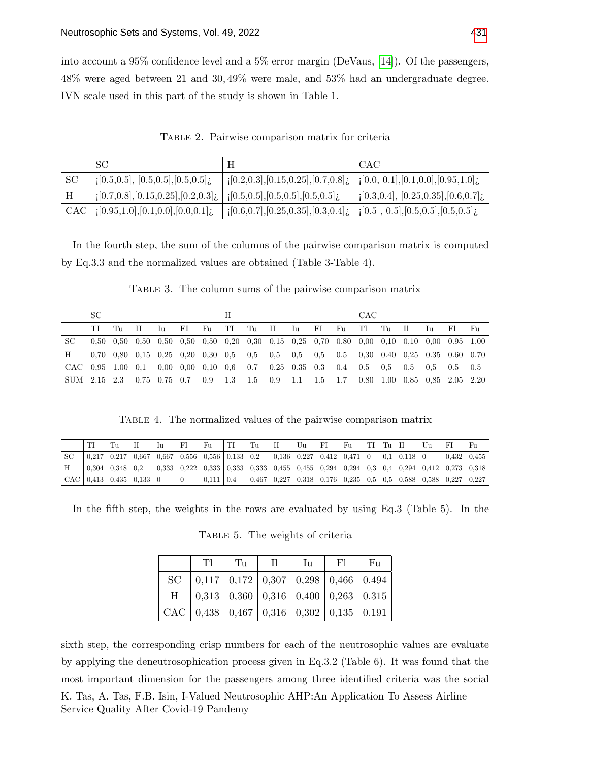into account a 95% confidence level and a 5% error margin (DeVaus, [\[14\]](#page-12-10)). Of the passengers, 48% were aged between 21 and 30, 49% were male, and 53% had an undergraduate degree. IVN scale used in this part of the study is shown in Table 1.

Table 2. Pairwise comparison matrix for criteria

|     | SC                                                                    |                                                                                                                                                   | <b>CAC</b>                                     |
|-----|-----------------------------------------------------------------------|---------------------------------------------------------------------------------------------------------------------------------------------------|------------------------------------------------|
| SС  | [0.5, 0.5], [0.5, 0.5], [0.5, 0.5]                                    | $\left[0.2, 0.3\right], \left[0.15, 0.25\right], \left[0.7, 0.8\right], \left[1, 0.0, 0.1\right], \left[0.1, 0.0\right], \left[0.95, 1.0\right],$ |                                                |
| H   | $\left[0.7,0.8\right], \left[0.15,0.25\right], \left[0.2,0.3\right],$ | $\left[$ i[0.5,0.5], [0.5,0.5], [0.5,0.5];                                                                                                        | $(0.3, 0.4]$ , $(0.25, 0.35]$ , $(0.6, 0.7)$ ; |
| CAC | $\vert$ [0.95,1.0], [0.1,0.0], [0.0,0.1]                              | $_{1}[0.6, 0.7], [0.25, 0.35], [0.3, 0.4],$ $ _{1}[0.5, 0.5], [0.5, 0.5], [0.5, 0.5],$                                                            |                                                |

In the fourth step, the sum of the columns of the pairwise comparison matrix is computed by Eq.3.3 and the normalized values are obtained (Table 3-Table 4).

TABLE 3. The column sums of the pairwise comparison matrix

|                                                                                                                                                                                                                                                                                                                                                                            | SC |       |  |                         |                                                                                                                                                                  |    | H |  |  |  |  | <b>CAC</b>             |  |  |                |  |  |                                                               |
|----------------------------------------------------------------------------------------------------------------------------------------------------------------------------------------------------------------------------------------------------------------------------------------------------------------------------------------------------------------------------|----|-------|--|-------------------------|------------------------------------------------------------------------------------------------------------------------------------------------------------------|----|---|--|--|--|--|------------------------|--|--|----------------|--|--|---------------------------------------------------------------|
|                                                                                                                                                                                                                                                                                                                                                                            | TI | Tu II |  | $\overline{\mathbf{u}}$ | $_{\rm FI}$                                                                                                                                                      | Fu |   |  |  |  |  | $\ T\ $ Tu II Iu FI Fu |  |  | Tl Tu Il Iu Fl |  |  | – Fu                                                          |
| <b>SC</b>                                                                                                                                                                                                                                                                                                                                                                  |    |       |  |                         | $0.50$ $0.50$ $0.50$ $0.50$ $0.50$ $0.50$ $0.20$ $0.30$ $0.15$ $0.25$ $0.70$ $0.80$ $0.00$ $0.10$ $0.10$ $0.00$ $0.95$ $1.00$                                    |    |   |  |  |  |  |                        |  |  |                |  |  |                                                               |
| H                                                                                                                                                                                                                                                                                                                                                                          |    |       |  |                         | $\begin{array}{ccccccccc} \n0.70 & 0.80 & 0.15 & 0.25 & 0.20 & 0.30 & 0.5 & 0.5 & 0.5 & 0.5 & 0.5 & 0.5 & 0.30 & 0.40 & 0.25 & 0.35 & 0.60 & 0.70 \n\end{array}$ |    |   |  |  |  |  |                        |  |  |                |  |  |                                                               |
| CAC $\mid 0.95 \quad 1.00 \quad 0.1 \quad 0.00 \quad 0.00 \quad 0.10 \mid 0.6 \quad 0.7 \quad 0.25 \quad 0.35 \quad 0.3 \quad 0.4 \quad \mid 0.5 \quad 0.5 \quad 0.5 \quad 0.5 \quad 0.5 \quad 0.5 \quad 0.5 \quad 0.6 \quad 0.6 \quad 0.7 \quad 0.7 \quad 0.7 \quad 0.8 \quad 0.8 \quad 0.9 \quad 0.9 \quad 0.9 \quad 0.9 \quad 0.9 \quad 0.9 \quad 0.9 \quad 0.9 \quad $ |    |       |  |                         |                                                                                                                                                                  |    |   |  |  |  |  |                        |  |  |                |  |  |                                                               |
| $SUM \mid 2.15 \quad 2.3 \quad 0.75 \quad 0.75 \quad 0.7 \quad 0.9$                                                                                                                                                                                                                                                                                                        |    |       |  |                         |                                                                                                                                                                  |    |   |  |  |  |  |                        |  |  |                |  |  | $\vert$ 1.3 1.5 0.9 1.1 1.5 1.7 0.80 1.00 0.85 0.85 2.05 2.20 |

Table 4. The normalized values of the pairwise comparison matrix

|     |                                                                                                                                                               |  |  |  |  |  |  |  |  | TI Tu II Iu FI Fu TI Tu II Uu FI Fu TI Tu II Uu FI Fu |
|-----|---------------------------------------------------------------------------------------------------------------------------------------------------------------|--|--|--|--|--|--|--|--|-------------------------------------------------------|
| SC. |                                                                                                                                                               |  |  |  |  |  |  |  |  |                                                       |
|     |                                                                                                                                                               |  |  |  |  |  |  |  |  |                                                       |
|     | $\begin{bmatrix} CAC & 0.413 & 0.435 & 0.133 & 0 & 0 & 0.111 & 0.4 & 0.467 & 0.227 & 0.318 & 0.176 & 0.235 & 0.5 & 0.5 & 0.588 & 0.287 & 0.227 \end{bmatrix}$ |  |  |  |  |  |  |  |  |                                                       |

In the fifth step, the weights in the rows are evaluated by using Eq.3 (Table 5). In the

Table 5. The weights of criteria

| T1 | Tu | $\prod$                                           | Iu | F1 | $ $ Fu |
|----|----|---------------------------------------------------|----|----|--------|
|    |    |                                                   |    |    |        |
|    |    | H   0,313   0,360   0,316   0,400   0,263   0.315 |    |    |        |
|    |    | CAC 0,438 0,467 0,316 0,302 0,135 0.191           |    |    |        |

sixth step, the corresponding crisp numbers for each of the neutrosophic values are evaluate by applying the deneutrosophication process given in Eq.3.2 (Table 6). It was found that the most important dimension for the passengers among three identified criteria was the social

K. Tas, A. Tas, F.B. Isin, I-Valued Neutrosophic AHP:An Application To Assess Airline Service Quality After Covid-19 Pandemy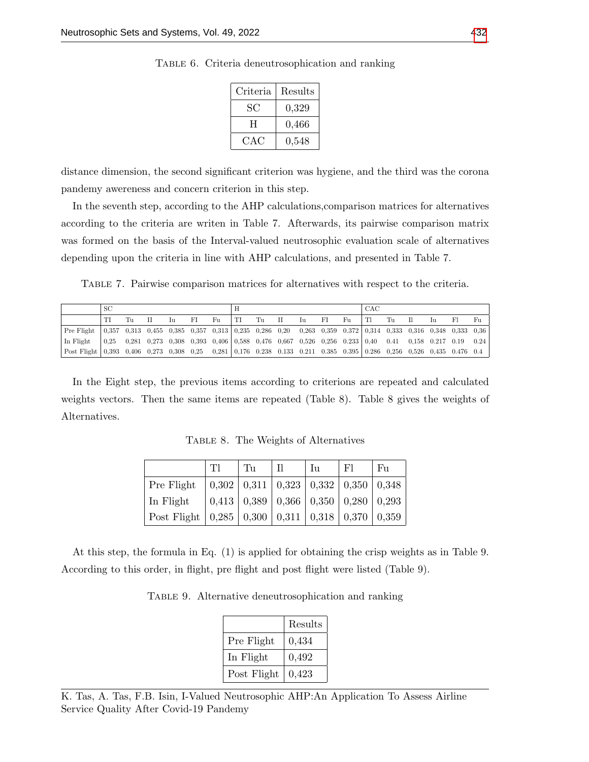| Criteria | Results |
|----------|---------|
| SC       | 0,329   |
| H        | 0,466   |
| CAC      | 0,548   |

Table 6. Criteria deneutrosophication and ranking

distance dimension, the second significant criterion was hygiene, and the third was the corona pandemy awereness and concern criterion in this step.

In the seventh step, according to the AHP calculations,comparison matrices for alternatives according to the criteria are writen in Table 7. Afterwards, its pairwise comparison matrix was formed on the basis of the Interval-valued neutrosophic evaluation scale of alternatives depending upon the criteria in line with AHP calculations, and presented in Table 7.

Table 7. Pairwise comparison matrices for alternatives with respect to the criteria.

|                                                                                                                            | SC |    |  |                                                       |       |  |            |  | CAC                                                                                                                                                                      |      |       |          |  |                                |  |    |    |    |
|----------------------------------------------------------------------------------------------------------------------------|----|----|--|-------------------------------------------------------|-------|--|------------|--|--------------------------------------------------------------------------------------------------------------------------------------------------------------------------|------|-------|----------|--|--------------------------------|--|----|----|----|
|                                                                                                                            |    | Tп |  | $\left  \begin{array}{ccc} 1 & 1 \end{array} \right $ | -FI - |  | Full Tu II |  |                                                                                                                                                                          | Iu — | FI FI | $F_{11}$ |  | $\mathbb{E}[\mathbf{T}]$ Tu II |  | Īп | F1 | Fu |
| Pre Flight   0,357 0,313 0,455 0,385 0,357 0,313   0,235 0,286 0,20 0,263 0,359 0.372   0,314 0,333 0,316 0,348 0,333 0,36 |    |    |  |                                                       |       |  |            |  |                                                                                                                                                                          |      |       |          |  |                                |  |    |    |    |
| In Flight                                                                                                                  |    |    |  |                                                       |       |  |            |  | $\begin{bmatrix} 0.25 & 0.281 & 0.273 & 0.308 & 0.393 & 0.406 & 0.588 & 0.476 & 0.667 & 0.526 & 0.236 & 0.233 & 0.40 & 0.41 & 0.158 & 0.217 & 0.19 & 0.24 \end{bmatrix}$ |      |       |          |  |                                |  |    |    |    |
| Post Flight 0,393 0,406 0,273 0,308 0,25 0,281 0,176 0.238 0.133 0.211 0.385 0.395 0.286 0,256 0,526 0,435 0.476 0.4       |    |    |  |                                                       |       |  |            |  |                                                                                                                                                                          |      |       |          |  |                                |  |    |    |    |

In the Eight step, the previous items according to criterions are repeated and calculated weights vectors. Then the same items are repeated (Table 8). Table 8 gives the weights of Alternatives.

|                                                                                       | TI                                                                  | $\mathrm{T}_{\mathrm{H}}$ | Īи | Fl                                                        | F <sub>U</sub> |
|---------------------------------------------------------------------------------------|---------------------------------------------------------------------|---------------------------|----|-----------------------------------------------------------|----------------|
| Pre Flight                                                                            |                                                                     |                           |    | $0,302$   $0,311$   $0,323$   $0,332$   $0,350$   $0,348$ |                |
| In Flight                                                                             | $\mid 0.413 \mid 0.389 \mid 0.366 \mid 0.350 \mid 0.280 \mid 0.293$ |                           |    |                                                           |                |
| Post Flight $\vert 0.285 \vert 0.300 \vert 0.311 \vert 0.318 \vert 0.370 \vert 0.359$ |                                                                     |                           |    |                                                           |                |

Table 8. The Weights of Alternatives

At this step, the formula in Eq. (1) is applied for obtaining the crisp weights as in Table 9. According to this order, in flight, pre flight and post flight were listed (Table 9).

Table 9. Alternative deneutrosophication and ranking

|             | Results |
|-------------|---------|
| Pre Flight  | 0,434   |
| In Flight   | 0,492   |
| Post Flight | 0,423   |

K. Tas, A. Tas, F.B. Isin, I-Valued Neutrosophic AHP:An Application To Assess Airline Service Quality After Covid-19 Pandemy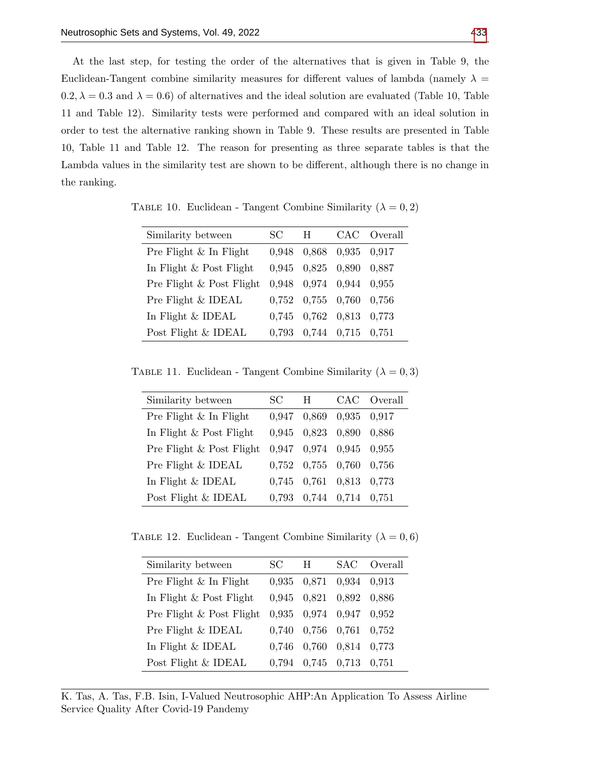At the last step, for testing the order of the alternatives that is given in Table 9, the Euclidean-Tangent combine similarity measures for different values of lambda (namely  $\lambda =$  $0.2, \lambda = 0.3$  and  $\lambda = 0.6$ ) of alternatives and the ideal solution are evaluated (Table 10, Table 11 and Table 12). Similarity tests were performed and compared with an ideal solution in order to test the alternative ranking shown in Table 9. These results are presented in Table 10, Table 11 and Table 12. The reason for presenting as three separate tables is that the Lambda values in the similarity test are shown to be different, although there is no change in the ranking.

| Similarity between         | SC.   | H |                                 | CAC Overall |
|----------------------------|-------|---|---------------------------------|-------------|
| Pre Flight $\&$ In Flight  | 0,948 |   | 0,868 0,935 0,917               |             |
| In Flight $\&$ Post Flight | 0,945 |   | 0,825 0,890                     | 0,887       |
| Pre Flight & Post Flight   | 0,948 |   | 0,974 0,944 0,955               |             |
| Pre Flight & IDEAL         |       |   | $0,752$ $0,755$ $0,760$ $0,756$ |             |
| In Flight & IDEAL          |       |   | $0,745$ $0,762$ $0,813$         | 0,773       |
| Post Flight & IDEAL        | 0.793 |   | $0,744$ $0,715$                 | 0.751       |

TABLE 10. Euclidean - Tangent Combine Similarity ( $\lambda = 0, 2$ )

TABLE 11. Euclidean - Tangent Combine Similarity ( $\lambda = 0, 3$ )

| SC.   | H | CAC Overall                                                                                                                                                              |
|-------|---|--------------------------------------------------------------------------------------------------------------------------------------------------------------------------|
| 0.947 |   |                                                                                                                                                                          |
|       |   |                                                                                                                                                                          |
|       |   |                                                                                                                                                                          |
|       |   |                                                                                                                                                                          |
|       |   |                                                                                                                                                                          |
| 0.793 |   |                                                                                                                                                                          |
|       |   | 0,869 0,935 0,917<br>0,945 0,823 0,890 0,886<br>$0,947$ $0,974$ $0,945$ $0,955$<br>$0,752$ $0,755$ $0,760$ $0,756$<br>0,745 0,761 0,813 0,773<br>$0,744$ $0,714$ $0,751$ |

TABLE 12. Euclidean - Tangent Combine Similarity ( $\lambda = 0, 6$ )

| Similarity between         | SC.   | H                       |               | SAC Overall |
|----------------------------|-------|-------------------------|---------------|-------------|
| Pre Flight $\&$ In Flight  |       | 0,935 0,871 0,934 0,913 |               |             |
| In Flight $\&$ Post Flight |       | $0,945$ $0,821$ $0,892$ |               | 0.886       |
| Pre Flight & Post Flight   |       | 0,935 0,974 0,947       |               | 0.952       |
| Pre Flight & IDEAL         | 0.740 | $0,756$ $0,761$ $0,752$ |               |             |
| In Flight $&$ IDEAL        | 0.746 | 0,760                   | $0,814$ 0.773 |             |
| Post Flight & IDEAL        | 0.794 | $0,745$ 0.713           |               | 0.751       |

K. Tas, A. Tas, F.B. Isin, I-Valued Neutrosophic AHP:An Application To Assess Airline Service Quality After Covid-19 Pandemy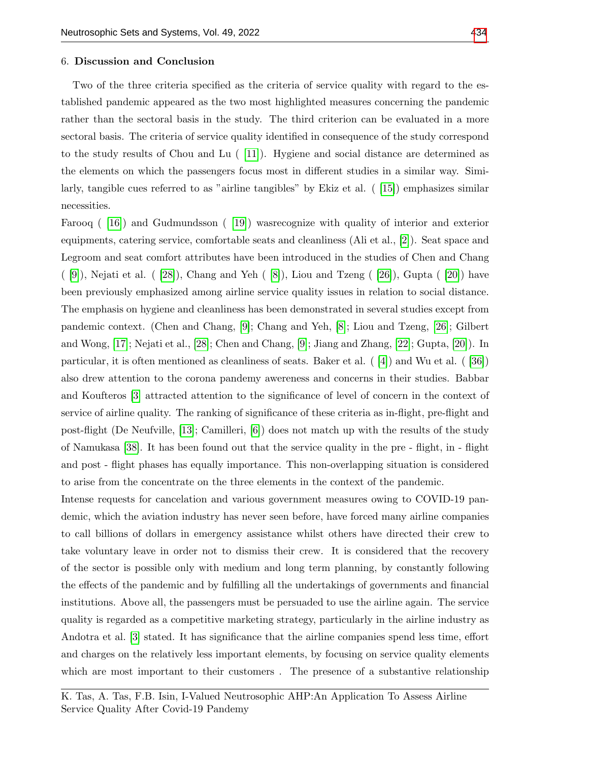#### 6. Discussion and Conclusion

Two of the three criteria specified as the criteria of service quality with regard to the established pandemic appeared as the two most highlighted measures concerning the pandemic rather than the sectoral basis in the study. The third criterion can be evaluated in a more sectoral basis. The criteria of service quality identified in consequence of the study correspond to the study results of Chou and Lu ( [\[11\]](#page-11-1)). Hygiene and social distance are determined as the elements on which the passengers focus most in different studies in a similar way. Similarly, tangible cues referred to as "airline tangibles" by Ekiz et al. ( [\[15\]](#page-12-11)) emphasizes similar necessities.

Farooq ( [\[16\]](#page-12-12)) and Gudmundsson ( [\[19\]](#page-12-13)) wasrecognize with quality of interior and exterior equipments, catering service, comfortable seats and cleanliness (Ali et al., [\[2\]](#page-11-7)). Seat space and Legroom and seat comfort attributes have been introduced in the studies of Chen and Chang  $([9])$  $([9])$  $([9])$ , Nejati et al.  $([28])$  $([28])$  $([28])$ , Chang and Yeh  $([8])$  $([8])$  $([8])$ , Liou and Tzeng  $([26])$  $([26])$  $([26])$ , Gupta  $([20])$  $([20])$  $([20])$  have been previously emphasized among airline service quality issues in relation to social distance. The emphasis on hygiene and cleanliness has been demonstrated in several studies except from pandemic context. (Chen and Chang, [\[9\]](#page-11-4); Chang and Yeh, [\[8\]](#page-11-8); Liou and Tzeng, [\[26\]](#page-12-15); Gilbert and Wong, [\[17\]](#page-12-17); Nejati et al., [\[28\]](#page-12-14); Chen and Chang, [\[9\]](#page-11-4); Jiang and Zhang, [\[22\]](#page-12-1); Gupta, [\[20\]](#page-12-16)). In particular, it is often mentioned as cleanliness of seats. Baker et al.  $(4)$  and Wu et al.  $(36)$ also drew attention to the corona pandemy awereness and concerns in their studies. Babbar and Koufteros [\[3\]](#page-11-9) attracted attention to the significance of level of concern in the context of service of airline quality. The ranking of significance of these criteria as in-flight, pre-flight and post-flight (De Neufville, [\[13\]](#page-11-10); Camilleri, [\[6\]](#page-11-2)) does not match up with the results of the study of Namukasa [\[38\]](#page-13-2). It has been found out that the service quality in the pre - flight, in - flight and post - flight phases has equally importance. This non-overlapping situation is considered to arise from the concentrate on the three elements in the context of the pandemic.

Intense requests for cancelation and various government measures owing to COVID-19 pandemic, which the aviation industry has never seen before, have forced many airline companies to call billions of dollars in emergency assistance whilst others have directed their crew to take voluntary leave in order not to dismiss their crew. It is considered that the recovery of the sector is possible only with medium and long term planning, by constantly following the effects of the pandemic and by fulfilling all the undertakings of governments and financial institutions. Above all, the passengers must be persuaded to use the airline again. The service quality is regarded as a competitive marketing strategy, particularly in the airline industry as Andotra et al. [\[3\]](#page-11-9) stated. It has significance that the airline companies spend less time, effort and charges on the relatively less important elements, by focusing on service quality elements which are most important to their customers. The presence of a substantive relationship

K. Tas, A. Tas, F.B. Isin, I-Valued Neutrosophic AHP:An Application To Assess Airline Service Quality After Covid-19 Pandemy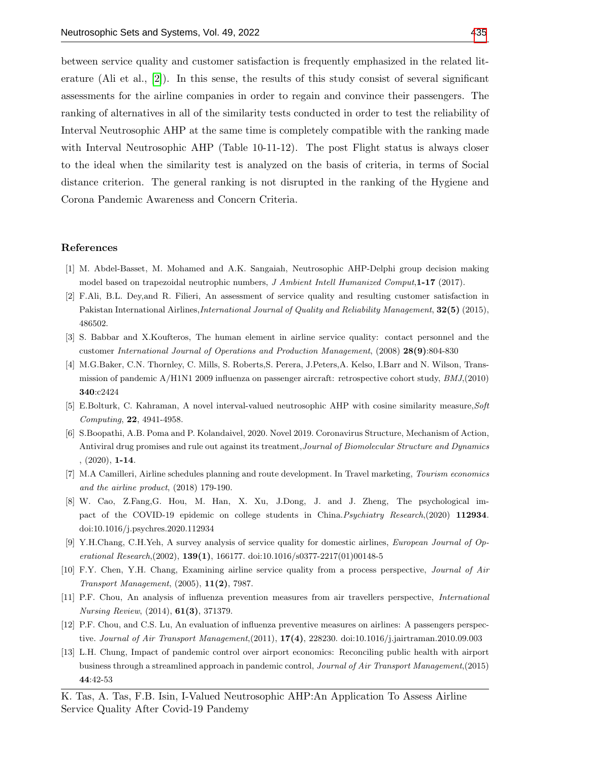between service quality and customer satisfaction is frequently emphasized in the related literature (Ali et al., [\[2\]](#page-11-7)). In this sense, the results of this study consist of several significant assessments for the airline companies in order to regain and convince their passengers. The ranking of alternatives in all of the similarity tests conducted in order to test the reliability of Interval Neutrosophic AHP at the same time is completely compatible with the ranking made with Interval Neutrosophic AHP (Table 10-11-12). The post Flight status is always closer to the ideal when the similarity test is analyzed on the basis of criteria, in terms of Social distance criterion. The general ranking is not disrupted in the ranking of the Hygiene and Corona Pandemic Awareness and Concern Criteria.

#### References

- <span id="page-11-5"></span>[1] M. Abdel-Basset, M. Mohamed and A.K. Sangaiah, Neutrosophic AHP-Delphi group decision making model based on trapezoidal neutrophic numbers, J Ambient Intell Humanized Comput, 1-17 (2017).
- <span id="page-11-7"></span>[2] F.Ali, B.L. Dey,and R. Filieri, An assessment of service quality and resulting customer satisfaction in Pakistan International Airlines,*International Journal of Quality and Reliability Management*, **32(5)** (2015), 486502.
- <span id="page-11-9"></span>[3] S. Babbar and X.Koufteros, The human element in airline service quality: contact personnel and the customer International Journal of Operations and Production Management, (2008) 28(9):804-830
- <span id="page-11-0"></span>[4] M.G.Baker, C.N. Thornley, C. Mills, S. Roberts,S. Perera, J.Peters,A. Kelso, I.Barr and N. Wilson, Transmission of pandemic A/H1N1 2009 influenza on passenger aircraft: retrospective cohort study, BMJ,(2010) 340:c2424
- [5] E.Bolturk, C. Kahraman, A novel interval-valued neutrosophic AHP with cosine similarity measure,Soft Computing, 22, 4941-4958.
- <span id="page-11-2"></span>[6] S.Boopathi, A.B. Poma and P. Kolandaivel, 2020. Novel 2019. Coronavirus Structure, Mechanism of Action, Antiviral drug promises and rule out against its treatment,Journal of Biomolecular Structure and Dynamics , (2020), 1-14.
- [7] M.A Camilleri, Airline schedules planning and route development. In Travel marketing, Tourism economics and the airline product, (2018) 179-190.
- <span id="page-11-8"></span>[8] W. Cao, Z.Fang,G. Hou, M. Han, X. Xu, J.Dong, J. and J. Zheng, The psychological impact of the COVID-19 epidemic on college students in China. Psychiatry Research,(2020) 112934. doi:10.1016/j.psychres.2020.112934
- <span id="page-11-4"></span>[9] Y.H.Chang, C.H.Yeh, A survey analysis of service quality for domestic airlines, European Journal of Operational Research,(2002), 139(1), 166177. doi:10.1016/s0377-2217(01)00148-5
- <span id="page-11-3"></span>[10] F.Y. Chen, Y.H. Chang, Examining airline service quality from a process perspective, Journal of Air Transport Management, (2005), 11(2), 7987.
- <span id="page-11-1"></span>[11] P.F. Chou, An analysis of influenza prevention measures from air travellers perspective, International Nursing Review, (2014), 61(3), 371379.
- <span id="page-11-6"></span>[12] P.F. Chou, and C.S. Lu, An evaluation of influenza preventive measures on airlines: A passengers perspective. Journal of Air Transport Management,(2011), 17(4), 228230. doi:10.1016/j.jairtraman.2010.09.003
- <span id="page-11-10"></span>[13] L.H. Chung, Impact of pandemic control over airport economics: Reconciling public health with airport business through a streamlined approach in pandemic control, Journal of Air Transport Management,(2015) 44:42-53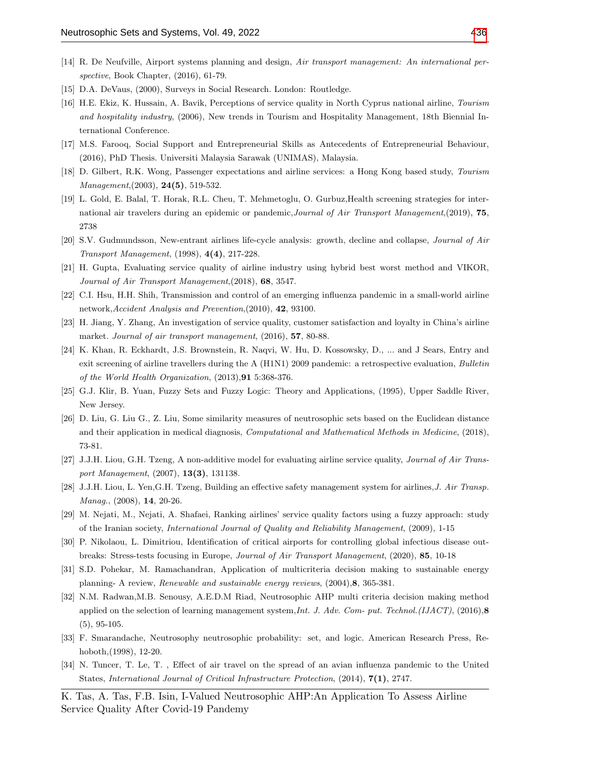- <span id="page-12-10"></span>[14] R. De Neufville, Airport systems planning and design, Air transport management: An international perspective, Book Chapter,  $(2016)$ , 61-79.
- <span id="page-12-11"></span>[15] D.A. DeVaus, (2000), Surveys in Social Research. London: Routledge.
- <span id="page-12-12"></span>[16] H.E. Ekiz, K. Hussain, A. Bavik, Perceptions of service quality in North Cyprus national airline, Tourism and hospitality industry, (2006), New trends in Tourism and Hospitality Management, 18th Biennial International Conference.
- <span id="page-12-17"></span>[17] M.S. Farooq, Social Support and Entrepreneurial Skills as Antecedents of Entrepreneurial Behaviour, (2016), PhD Thesis. Universiti Malaysia Sarawak (UNIMAS), Malaysia.
- <span id="page-12-5"></span>[18] D. Gilbert, R.K. Wong, Passenger expectations and airline services: a Hong Kong based study, Tourism Management,(2003), 24(5), 519-532.
- <span id="page-12-13"></span>[19] L. Gold, E. Balal, T. Horak, R.L. Cheu, T. Mehmetoglu, O. Gurbuz,Health screening strategies for international air travelers during an epidemic or pandemic, Journal of Air Transport Management, (2019), 75, 2738
- <span id="page-12-16"></span>[20] S.V. Gudmundsson, New-entrant airlines life-cycle analysis: growth, decline and collapse, Journal of Air Transport Management, (1998), 4(4), 217-228.
- <span id="page-12-6"></span>[21] H. Gupta, Evaluating service quality of airline industry using hybrid best worst method and VIKOR, Journal of Air Transport Management,(2018), 68, 3547.
- <span id="page-12-1"></span>[22] C.I. Hsu, H.H. Shih, Transmission and control of an emerging influenza pandemic in a small-world airline network,Accident Analysis and Prevention,(2010), 42, 93100.
- [23] H. Jiang, Y. Zhang, An investigation of service quality, customer satisfaction and loyalty in China's airline market. Journal of air transport management, (2016), 57, 80-88.
- <span id="page-12-9"></span>[24] K. Khan, R. Eckhardt, J.S. Brownstein, R. Naqvi, W. Hu, D. Kossowsky, D., ... and J Sears, Entry and exit screening of airline travellers during the A (H1N1) 2009 pandemic: a retrospective evaluation, Bulletin of the World Health Organization, (2013),91 5:368-376.
- <span id="page-12-0"></span>[25] G.J. Klir, B. Yuan, Fuzzy Sets and Fuzzy Logic: Theory and Applications, (1995), Upper Saddle River, New Jersey.
- <span id="page-12-15"></span>[26] D. Liu, G. Liu G., Z. Liu, Some similarity measures of neutrosophic sets based on the Euclidean distance and their application in medical diagnosis, Computational and Mathematical Methods in Medicine, (2018), 73-81.
- [27] J.J.H. Liou, G.H. Tzeng, A non-additive model for evaluating airline service quality, Journal of Air Transport Management, (2007), 13(3), 131138.
- <span id="page-12-14"></span>[28] J.J.H. Liou, L. Yen,G.H. Tzeng, Building an effective safety management system for airlines,J. Air Transp. Manag., (2008), **14**, 20-26.
- <span id="page-12-4"></span>[29] M. Nejati, M., Nejati, A. Shafaei, Ranking airlines' service quality factors using a fuzzy approach: study of the Iranian society, International Journal of Quality and Reliability Management, (2009), 1-15
- [30] P. Nikolaou, L. Dimitriou, Identification of critical airports for controlling global infectious disease outbreaks: Stress-tests focusing in Europe, Journal of Air Transport Management, (2020), 85, 10-18
- <span id="page-12-3"></span>[31] S.D. Pohekar, M. Ramachandran, Application of multicriteria decision making to sustainable energy planning- A review, Renewable and sustainable energy reviews, (2004),8, 365-381.
- <span id="page-12-2"></span>[32] N.M. Radwan,M.B. Senousy, A.E.D.M Riad, Neutrosophic AHP multi criteria decision making method applied on the selection of learning management system, Int. J. Adv. Com- put. Technol. (IJACT), (2016),  $\mathbf{8}$  $(5), 95-105.$
- <span id="page-12-7"></span>[33] F. Smarandache, Neutrosophy neutrosophic probability: set, and logic. American Research Press, Rehoboth,(1998), 12-20.
- <span id="page-12-8"></span>[34] N. Tuncer, T. Le, T. , Effect of air travel on the spread of an avian influenza pandemic to the United States, International Journal of Critical Infrastructure Protection, (2014), 7(1), 2747.
- K. Tas, A. Tas, F.B. Isin, I-Valued Neutrosophic AHP:An Application To Assess Airline Service Quality After Covid-19 Pandemy